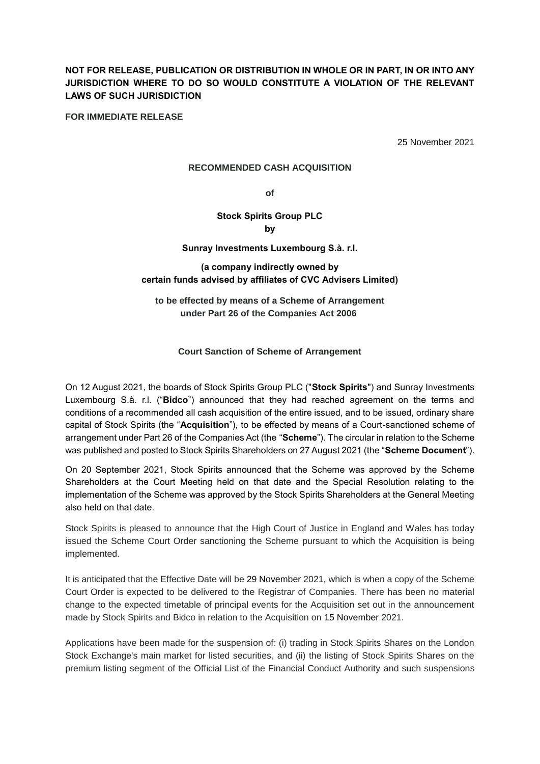# **NOT FOR RELEASE, PUBLICATION OR DISTRIBUTION IN WHOLE OR IN PART, IN OR INTO ANY JURISDICTION WHERE TO DO SO WOULD CONSTITUTE A VIOLATION OF THE RELEVANT LAWS OF SUCH JURISDICTION**

**FOR IMMEDIATE RELEASE**

25 November 2021

### **RECOMMENDED CASH ACQUISITION**

**of**

### **Stock Spirits Group PLC by**

### **Sunray Investments Luxembourg S.à. r.l.**

# **(a company indirectly owned by certain funds advised by affiliates of CVC Advisers Limited)**

# **to be effected by means of a Scheme of Arrangement under Part 26 of the Companies Act 2006**

## **Court Sanction of Scheme of Arrangement**

On 12 August 2021, the boards of Stock Spirits Group PLC ("**Stock Spirits**") and Sunray Investments Luxembourg S.à. r.l. ("**Bidco**") announced that they had reached agreement on the terms and conditions of a recommended all cash acquisition of the entire issued, and to be issued, ordinary share capital of Stock Spirits (the "**Acquisition**"), to be effected by means of a Court-sanctioned scheme of arrangement under Part 26 of the Companies Act (the "**Scheme**"). The circular in relation to the Scheme was published and posted to Stock Spirits Shareholders on 27 August 2021 (the "**Scheme Document**").

On 20 September 2021, Stock Spirits announced that the Scheme was approved by the Scheme Shareholders at the Court Meeting held on that date and the Special Resolution relating to the implementation of the Scheme was approved by the Stock Spirits Shareholders at the General Meeting also held on that date.

Stock Spirits is pleased to announce that the High Court of Justice in England and Wales has today issued the Scheme Court Order sanctioning the Scheme pursuant to which the Acquisition is being implemented.

It is anticipated that the Effective Date will be 29 November 2021, which is when a copy of the Scheme Court Order is expected to be delivered to the Registrar of Companies. There has been no material change to the expected timetable of principal events for the Acquisition set out in the announcement made by Stock Spirits and Bidco in relation to the Acquisition on 15 November 2021.

Applications have been made for the suspension of: (i) trading in Stock Spirits Shares on the London Stock Exchange's main market for listed securities, and (ii) the listing of Stock Spirits Shares on the premium listing segment of the Official List of the Financial Conduct Authority and such suspensions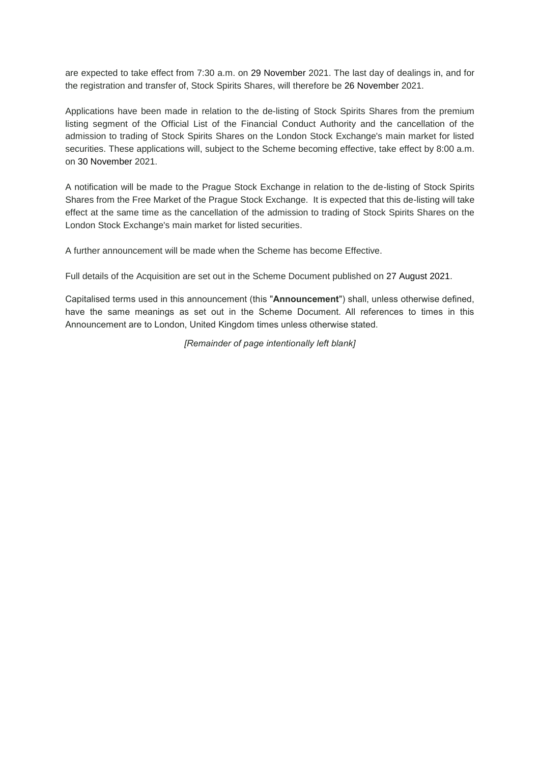are expected to take effect from 7:30 a.m. on 29 November 2021. The last day of dealings in, and for the registration and transfer of, Stock Spirits Shares, will therefore be 26 November 2021.

Applications have been made in relation to the de-listing of Stock Spirits Shares from the premium listing segment of the Official List of the Financial Conduct Authority and the cancellation of the admission to trading of Stock Spirits Shares on the London Stock Exchange's main market for listed securities. These applications will, subject to the Scheme becoming effective, take effect by 8:00 a.m. on 30 November 2021.

A notification will be made to the Prague Stock Exchange in relation to the de-listing of Stock Spirits Shares from the Free Market of the Prague Stock Exchange. It is expected that this de-listing will take effect at the same time as the cancellation of the admission to trading of Stock Spirits Shares on the London Stock Exchange's main market for listed securities.

A further announcement will be made when the Scheme has become Effective.

Full details of the Acquisition are set out in the Scheme Document published on 27 August 2021.

Capitalised terms used in this announcement (this "**Announcement**") shall, unless otherwise defined, have the same meanings as set out in the Scheme Document. All references to times in this Announcement are to London, United Kingdom times unless otherwise stated.

*[Remainder of page intentionally left blank]*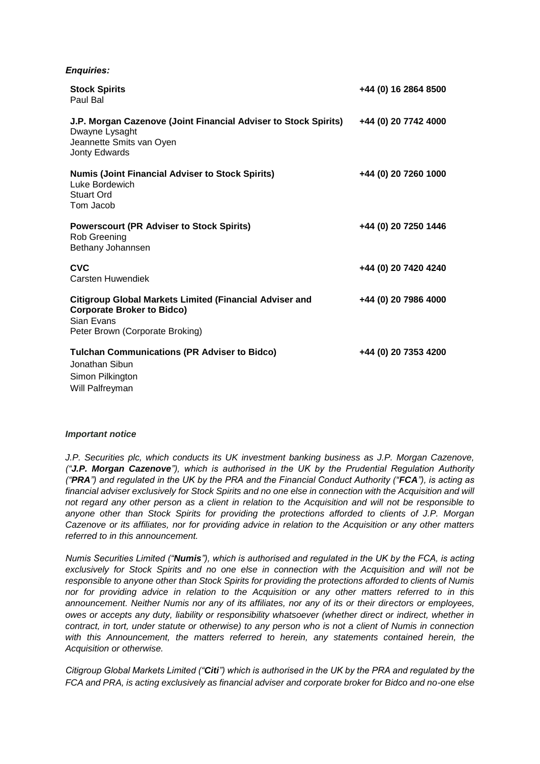| <b>Enquiries:</b>                                                                                                                                    |                      |
|------------------------------------------------------------------------------------------------------------------------------------------------------|----------------------|
| <b>Stock Spirits</b><br>Paul Bal                                                                                                                     | +44 (0) 16 2864 8500 |
| J.P. Morgan Cazenove (Joint Financial Adviser to Stock Spirits)<br>Dwayne Lysaght<br>Jeannette Smits van Oyen<br>Jonty Edwards                       | +44 (0) 20 7742 4000 |
| <b>Numis (Joint Financial Adviser to Stock Spirits)</b><br>Luke Bordewich<br><b>Stuart Ord</b><br>Tom Jacob                                          | +44 (0) 20 7260 1000 |
| <b>Powerscourt (PR Adviser to Stock Spirits)</b><br>Rob Greening<br>Bethany Johannsen                                                                | +44 (0) 20 7250 1446 |
| <b>CVC</b><br>Carsten Huwendiek                                                                                                                      | +44 (0) 20 7420 4240 |
| <b>Citigroup Global Markets Limited (Financial Adviser and</b><br><b>Corporate Broker to Bidco)</b><br>Sian Evans<br>Peter Brown (Corporate Broking) | +44 (0) 20 7986 4000 |
| <b>Tulchan Communications (PR Adviser to Bidco)</b><br>Jonathan Sibun<br>Simon Pilkington<br>Will Palfreyman                                         | +44 (0) 20 7353 4200 |

#### *Important notice*

*J.P. Securities plc, which conducts its UK investment banking business as J.P. Morgan Cazenove, ("J.P. Morgan Cazenove"), which is authorised in the UK by the Prudential Regulation Authority ("PRA") and regulated in the UK by the PRA and the Financial Conduct Authority ("FCA"), is acting as financial adviser exclusively for Stock Spirits and no one else in connection with the Acquisition and will not regard any other person as a client in relation to the Acquisition and will not be responsible to anyone other than Stock Spirits for providing the protections afforded to clients of J.P. Morgan Cazenove or its affiliates, nor for providing advice in relation to the Acquisition or any other matters referred to in this announcement.*

*Numis Securities Limited ("Numis"), which is authorised and regulated in the UK by the FCA, is acting exclusively for Stock Spirits and no one else in connection with the Acquisition and will not be responsible to anyone other than Stock Spirits for providing the protections afforded to clients of Numis nor for providing advice in relation to the Acquisition or any other matters referred to in this announcement. Neither Numis nor any of its affiliates, nor any of its or their directors or employees, owes or accepts any duty, liability or responsibility whatsoever (whether direct or indirect, whether in contract, in tort, under statute or otherwise) to any person who is not a client of Numis in connection with this Announcement, the matters referred to herein, any statements contained herein, the Acquisition or otherwise.*

*Citigroup Global Markets Limited ("Citi") which is authorised in the UK by the PRA and regulated by the FCA and PRA, is acting exclusively as financial adviser and corporate broker for Bidco and no-one else*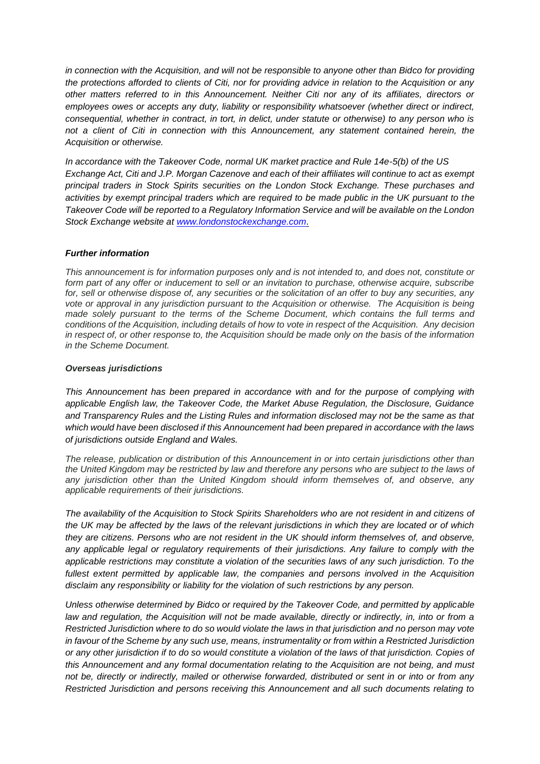*in connection with the Acquisition, and will not be responsible to anyone other than Bidco for providing the protections afforded to clients of Citi, nor for providing advice in relation to the Acquisition or any other matters referred to in this Announcement. Neither Citi nor any of its affiliates, directors or employees owes or accepts any duty, liability or responsibility whatsoever (whether direct or indirect, consequential, whether in contract, in tort, in delict, under statute or otherwise) to any person who is not a client of Citi in connection with this Announcement, any statement contained herein, the Acquisition or otherwise.*

*In accordance with the Takeover Code, normal UK market practice and Rule 14e-5(b) of the US Exchange Act, Citi and J.P. Morgan Cazenove and each of their affiliates will continue to act as exempt principal traders in Stock Spirits securities on the London Stock Exchange. These purchases and activities by exempt principal traders which are required to be made public in the UK pursuant to the Takeover Code will be reported to a Regulatory Information Service and will be available on the London Stock Exchange website at www.londonstockexchange.com*.

## *Further information*

*This announcement is for information purposes only and is not intended to, and does not, constitute or form part of any offer or inducement to sell or an invitation to purchase, otherwise acquire, subscribe for, sell or otherwise dispose of, any securities or the solicitation of an offer to buy any securities, any vote or approval in any jurisdiction pursuant to the Acquisition or otherwise. The Acquisition is being made solely pursuant to the terms of the Scheme Document, which contains the full terms and conditions of the Acquisition, including details of how to vote in respect of the Acquisition. Any decision in respect of, or other response to, the Acquisition should be made only on the basis of the information in the Scheme Document.*

## *Overseas jurisdictions*

*This Announcement has been prepared in accordance with and for the purpose of complying with applicable English law, the Takeover Code, the Market Abuse Regulation, the Disclosure, Guidance and Transparency Rules and the Listing Rules and information disclosed may not be the same as that which would have been disclosed if this Announcement had been prepared in accordance with the laws of jurisdictions outside England and Wales.*

*The release, publication or distribution of this Announcement in or into certain jurisdictions other than the United Kingdom may be restricted by law and therefore any persons who are subject to the laws of any jurisdiction other than the United Kingdom should inform themselves of, and observe, any applicable requirements of their jurisdictions.*

*The availability of the Acquisition to Stock Spirits Shareholders who are not resident in and citizens of the UK may be affected by the laws of the relevant jurisdictions in which they are located or of which they are citizens. Persons who are not resident in the UK should inform themselves of, and observe, any applicable legal or regulatory requirements of their jurisdictions. Any failure to comply with the applicable restrictions may constitute a violation of the securities laws of any such jurisdiction. To the fullest extent permitted by applicable law, the companies and persons involved in the Acquisition disclaim any responsibility or liability for the violation of such restrictions by any person.*

*Unless otherwise determined by Bidco or required by the Takeover Code, and permitted by applicable law and regulation, the Acquisition will not be made available, directly or indirectly, in, into or from a Restricted Jurisdiction where to do so would violate the laws in that jurisdiction and no person may vote in favour of the Scheme by any such use, means, instrumentality or from within a Restricted Jurisdiction or any other jurisdiction if to do so would constitute a violation of the laws of that jurisdiction. Copies of this Announcement and any formal documentation relating to the Acquisition are not being, and must not be, directly or indirectly, mailed or otherwise forwarded, distributed or sent in or into or from any Restricted Jurisdiction and persons receiving this Announcement and all such documents relating to*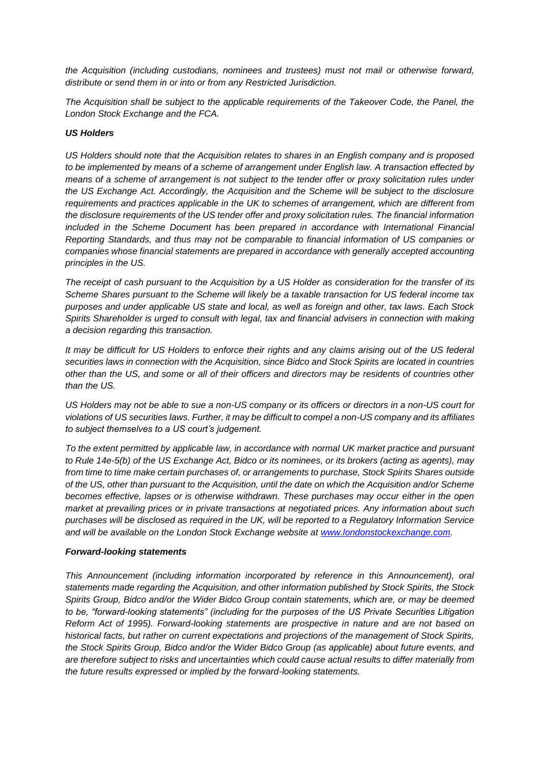*the Acquisition (including custodians, nominees and trustees) must not mail or otherwise forward, distribute or send them in or into or from any Restricted Jurisdiction.* 

*The Acquisition shall be subject to the applicable requirements of the Takeover Code, the Panel, the London Stock Exchange and the FCA.*

### *US Holders*

*US Holders should note that the Acquisition relates to shares in an English company and is proposed to be implemented by means of a scheme of arrangement under English law. A transaction effected by means of a scheme of arrangement is not subject to the tender offer or proxy solicitation rules under the US Exchange Act. Accordingly, the Acquisition and the Scheme will be subject to the disclosure requirements and practices applicable in the UK to schemes of arrangement, which are different from the disclosure requirements of the US tender offer and proxy solicitation rules. The financial information included in the Scheme Document has been prepared in accordance with International Financial Reporting Standards, and thus may not be comparable to financial information of US companies or companies whose financial statements are prepared in accordance with generally accepted accounting principles in the US.* 

*The receipt of cash pursuant to the Acquisition by a US Holder as consideration for the transfer of its Scheme Shares pursuant to the Scheme will likely be a taxable transaction for US federal income tax purposes and under applicable US state and local, as well as foreign and other, tax laws. Each Stock Spirits Shareholder is urged to consult with legal, tax and financial advisers in connection with making a decision regarding this transaction.*

*It may be difficult for US Holders to enforce their rights and any claims arising out of the US federal securities laws in connection with the Acquisition, since Bidco and Stock Spirits are located in countries other than the US, and some or all of their officers and directors may be residents of countries other than the US.*

*US Holders may not be able to sue a non-US company or its officers or directors in a non-US court for violations of US securities laws. Further, it may be difficult to compel a non-US company and its affiliates to subject themselves to a US court's judgement.* 

*To the extent permitted by applicable law, in accordance with normal UK market practice and pursuant to Rule 14e-5(b) of the US Exchange Act, Bidco or its nominees, or its brokers (acting as agents), may from time to time make certain purchases of, or arrangements to purchase, Stock Spirits Shares outside of the US, other than pursuant to the Acquisition, until the date on which the Acquisition and/or Scheme becomes effective, lapses or is otherwise withdrawn. These purchases may occur either in the open market at prevailing prices or in private transactions at negotiated prices. Any information about such purchases will be disclosed as required in the UK, will be reported to a Regulatory Information Service and will be available on the London Stock Exchange website at www.londonstockexchange.com.*

#### *Forward-looking statements*

*This Announcement (including information incorporated by reference in this Announcement), oral statements made regarding the Acquisition, and other information published by Stock Spirits, the Stock Spirits Group, Bidco and/or the Wider Bidco Group contain statements, which are, or may be deemed to be, "forward-looking statements" (including for the purposes of the US Private Securities Litigation Reform Act of 1995). Forward-looking statements are prospective in nature and are not based on historical facts, but rather on current expectations and projections of the management of Stock Spirits, the Stock Spirits Group, Bidco and/or the Wider Bidco Group (as applicable) about future events, and are therefore subject to risks and uncertainties which could cause actual results to differ materially from the future results expressed or implied by the forward-looking statements.*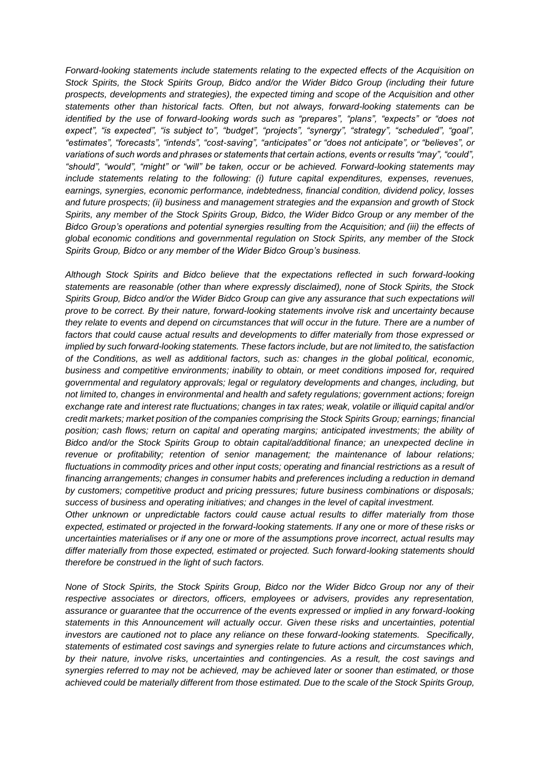*Forward-looking statements include statements relating to the expected effects of the Acquisition on Stock Spirits, the Stock Spirits Group, Bidco and/or the Wider Bidco Group (including their future prospects, developments and strategies), the expected timing and scope of the Acquisition and other statements other than historical facts. Often, but not always, forward-looking statements can be identified by the use of forward-looking words such as "prepares", "plans", "expects" or "does not expect", "is expected", "is subject to", "budget", "projects", "synergy", "strategy", "scheduled", "goal", "estimates", "forecasts", "intends", "cost-saving", "anticipates" or "does not anticipate", or "believes", or variations of such words and phrases or statements that certain actions, events or results "may", "could", "should", "would", "might" or "will" be taken, occur or be achieved. Forward-looking statements may include statements relating to the following: (i) future capital expenditures, expenses, revenues, earnings, synergies, economic performance, indebtedness, financial condition, dividend policy, losses and future prospects; (ii) business and management strategies and the expansion and growth of Stock Spirits, any member of the Stock Spirits Group, Bidco, the Wider Bidco Group or any member of the Bidco Group's operations and potential synergies resulting from the Acquisition; and (iii) the effects of global economic conditions and governmental regulation on Stock Spirits, any member of the Stock Spirits Group, Bidco or any member of the Wider Bidco Group's business.* 

*Although Stock Spirits and Bidco believe that the expectations reflected in such forward-looking statements are reasonable (other than where expressly disclaimed), none of Stock Spirits, the Stock Spirits Group, Bidco and/or the Wider Bidco Group can give any assurance that such expectations will prove to be correct. By their nature, forward-looking statements involve risk and uncertainty because they relate to events and depend on circumstances that will occur in the future. There are a number of factors that could cause actual results and developments to differ materially from those expressed or implied by such forward-looking statements. These factors include, but are not limited to, the satisfaction of the Conditions, as well as additional factors, such as: changes in the global political, economic, business and competitive environments; inability to obtain, or meet conditions imposed for, required governmental and regulatory approvals; legal or regulatory developments and changes, including, but not limited to, changes in environmental and health and safety regulations; government actions; foreign exchange rate and interest rate fluctuations; changes in tax rates; weak, volatile or illiquid capital and/or credit markets; market position of the companies comprising the Stock Spirits Group; earnings; financial position; cash flows; return on capital and operating margins; anticipated investments; the ability of Bidco and/or the Stock Spirits Group to obtain capital/additional finance; an unexpected decline in revenue or profitability; retention of senior management; the maintenance of labour relations; fluctuations in commodity prices and other input costs; operating and financial restrictions as a result of financing arrangements; changes in consumer habits and preferences including a reduction in demand by customers; competitive product and pricing pressures; future business combinations or disposals; success of business and operating initiatives; and changes in the level of capital investment.* 

*Other unknown or unpredictable factors could cause actual results to differ materially from those expected, estimated or projected in the forward-looking statements. If any one or more of these risks or uncertainties materialises or if any one or more of the assumptions prove incorrect, actual results may differ materially from those expected, estimated or projected. Such forward-looking statements should therefore be construed in the light of such factors.* 

*None of Stock Spirits, the Stock Spirits Group, Bidco nor the Wider Bidco Group nor any of their respective associates or directors, officers, employees or advisers, provides any representation, assurance or guarantee that the occurrence of the events expressed or implied in any forward-looking statements in this Announcement will actually occur. Given these risks and uncertainties, potential investors are cautioned not to place any reliance on these forward-looking statements. Specifically, statements of estimated cost savings and synergies relate to future actions and circumstances which, by their nature, involve risks, uncertainties and contingencies. As a result, the cost savings and synergies referred to may not be achieved, may be achieved later or sooner than estimated, or those achieved could be materially different from those estimated. Due to the scale of the Stock Spirits Group,*